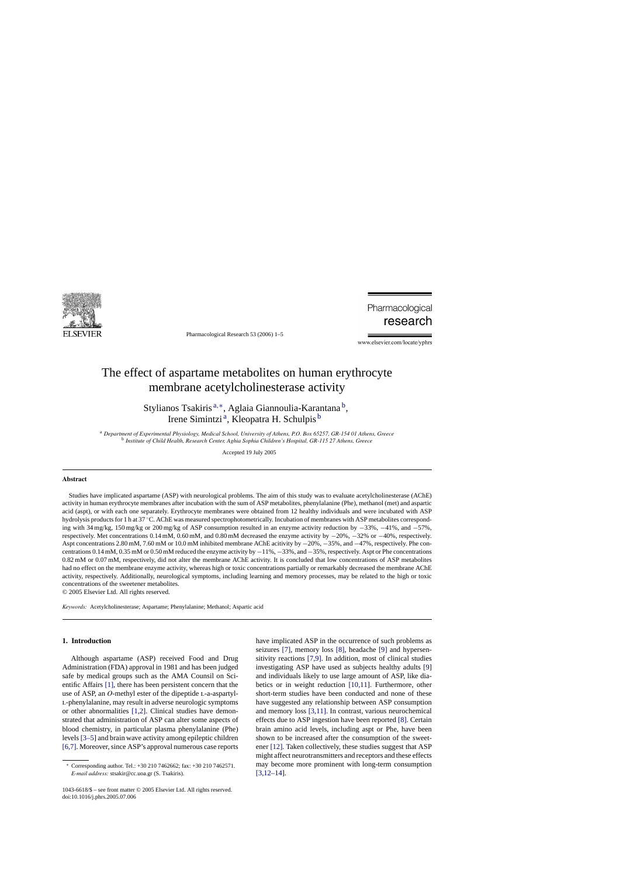

Pharmacological Research 53 (2006) 1–5

Pharmacological research

www.elsevier.com/locate/yphrs

# The effect of aspartame metabolites on human erythrocyte membrane acetylcholinesterase activity

Stylianos Tsakiris<sup>a,\*</sup>, Aglaia Giannoulia-Karantana<sup>b</sup>, Irene Simintzi<sup>a</sup>, Kleopatra H. Schulpis<sup>b</sup>

<sup>a</sup> *Department of Experimental Physiology, Medical School, University of Athens, P.O. Box 65257, GR-154 01 Athens, Greece* <sup>b</sup> *Institute of Child Health, Research Center, Aghia Sophia Children's Hospital, GR-115 27 Athens, Greece*

Accepted 19 July 2005

## **Abstract**

Studies have implicated aspartame (ASP) with neurological problems. The aim of this study was to evaluate acetylcholinesterase (AChE) activity in human erythrocyte membranes after incubation with the sum of ASP metabolites, phenylalanine (Phe), methanol (met) and aspartic acid (aspt), or with each one separately. Erythrocyte membranes were obtained from 12 healthy individuals and were incubated with ASP hydrolysis products for 1 h at 37 °C. AChE was measured spectrophotometrically. Incubation of membranes with ASP metabolites corresponding with 34 mg/kg, 150 mg/kg or 200 mg/kg of ASP consumption resulted in an enzyme activity reduction by −33%, −41%, and −57%, respectively. Met concentrations 0.14 mM, 0.60 mM, and 0.80 mM decreased the enzyme activity by −20%, −32% or −40%, respectively. Aspt concentrations 2.80 mM, 7.60 mM or 10.0 mM inhibited membrane AChE acitivity by −20%, −35%, and −47%, respectively. Phe concentrations 0.14 mM, 0.35 mM or 0.50 mM reduced the enzyme activity by −11%, −33%, and −35%, respectively. Aspt or Phe concentrations 0.82 mM or 0.07 mM, respectively, did not alter the membrane AChE activity. It is concluded that low concentrations of ASP metabolites had no effect on the membrane enzyme activity, whereas high or toxic concentrations partially or remarkably decreased the membrane AChE activity, respectively. Additionally, neurological symptoms, including learning and memory processes, may be related to the high or toxic concentrations of the sweetener metabolites.

© 2005 Elsevier Ltd. All rights reserved.

*Keywords:* Acetylcholinesterase; Aspartame; Phenylalanine; Methanol; Aspartic acid

# **1. Introduction**

Although aspartame (ASP) received Food and Drug Administration (FDA) approval in 1981 and has been judged safe by medical groups such as the AMA Counsil on Scientific Affairs [\[1\],](#page-4-0) there has been persistent concern that the use of ASP, an *O*-methyl ester of the dipeptide L-a-aspartyll-phenylalanine, may result in adverse neurologic symptoms or other abnormalities [\[1,2\].](#page-4-0) Clinical studies have demonstrated that administration of ASP can alter some aspects of blood chemistry, in particular plasma phenylalanine (Phe) levels [\[3–5\]](#page-4-0) and brain wave activity among epileptic children [\[6,7\]. M](#page-4-0)oreover, since ASP's approval numerous case reports

have implicated ASP in the occurrence of such problems as seizures [\[7\],](#page-4-0) memory loss [\[8\],](#page-4-0) headache [\[9\]](#page-4-0) and hypersensitivity reactions [\[7,9\].](#page-4-0) In addition, most of clinical studies investigating ASP have used as subjects healthy adults [\[9\]](#page-4-0) and individuals likely to use large amount of ASP, like diabetics or in weight reduction [\[10,11\].](#page-4-0) Furthermore, other short-term studies have been conducted and none of these have suggested any relationship between ASP consumption and memory loss [\[3,11\].](#page-4-0) In contrast, various neurochemical effects due to ASP ingestion have been reported [\[8\].](#page-4-0) Certain brain amino acid levels, including aspt or Phe, have been shown to be increased after the consumption of the sweetener [\[12\]. T](#page-4-0)aken collectively, these studies suggest that ASP might affect neurotransmitters and receptors and these effects may become more prominent with long-term consumption [\[3,12–14\].](#page-4-0)

<sup>∗</sup> Corresponding author. Tel.: +30 210 7462662; fax: +30 210 7462571. *E-mail address:* stsakir@cc.uoa.gr (S. Tsakiris).

<sup>1043-6618/\$ –</sup> see front matter © 2005 Elsevier Ltd. All rights reserved. doi:10.1016/j.phrs.2005.07.006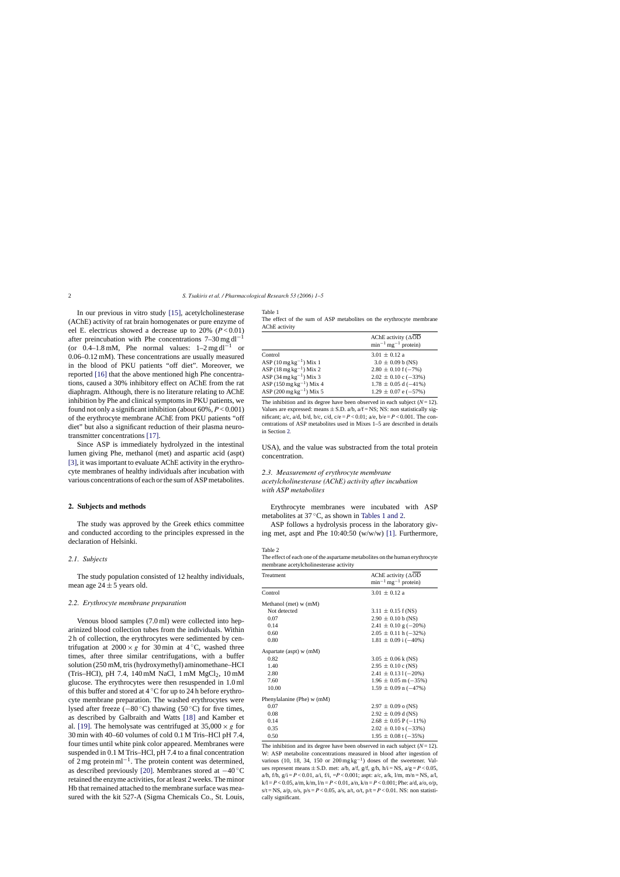<span id="page-1-0"></span>In our previous in vitro study [\[15\],](#page-4-0) acetylcholinesterase (AChE) activity of rat brain homogenates or pure enzyme of eel E. electricus showed a decrease up to  $20\%$  ( $P < 0.01$ ) after preincubation with Phe concentrations  $7-30$  mg dl<sup>-1</sup> (or 0.4–1.8 mM, Phe normal values:  $1-2$  mg dl<sup>-1</sup> or 0.06–0.12 mM). These concentrations are usually measured in the blood of PKU patients "off diet". Moreover, we reported [\[16\]](#page-4-0) that the above mentioned high Phe concentrations, caused a 30% inhibitory effect on AChE from the rat diaphragm. Although, there is no literature relating to AChE inhibition by Phe and clinical symptoms in PKU patients, we found not only a significant inhibition (about 60%, *P* < 0.001) of the erythrocyte membrane AChE from PKU patients "off diet" but also a significant reduction of their plasma neurotransmitter concentrations [\[17\].](#page-4-0)

Since ASP is immediately hydrolyzed in the intestinal lumen giving Phe, methanol (met) and aspartic acid (aspt) [\[3\], i](#page-4-0)t was important to evaluate AChE activity in the erythrocyte membranes of healthy individuals after incubation with various concentrations of each or the sum of ASP metabolites.

### **2. Subjects and methods**

The study was approved by the Greek ethics committee and conducted according to the principles expressed in the declaration of Helsinki.

#### *2.1. Subjects*

The study population consisted of 12 healthy individuals, mean age  $24 \pm 5$  years old.

#### *2.2. Erythrocyte membrane preparation*

Venous blood samples (7.0 ml) were collected into heparinized blood collection tubes from the individuals. Within 2 h of collection, the erythrocytes were sedimented by centrifugation at  $2000 \times g$  for 30 min at 4 °C, washed three times, after three similar centrifugations, with a buffer solution (250 mM, tris (hydroxymethyl) aminomethane–HCI (Tris–HCI), pH 7.4, 140 mM NaCl, 1 mM  $MgCl<sub>2</sub>$ , 10 mM glucose. The erythrocytes were then resuspended in 1.0 ml of this buffer and stored at  $4^{\circ}$ C for up to 24 h before erythrocyte membrane preparation. The washed erythrocytes were lysed after freeze ( $-80^{\circ}$ C) thawing (50 °C) for five times, as described by Galbraith and Watts [\[18\]](#page-4-0) and Kamber et al. [\[19\].](#page-4-0) The hemolysate was centrifuged at  $35,000 \times g$  for 30 min with 40–60 volumes of cold 0.1 M Tris–HCl pH 7.4, four times until white pink color appeared. Membranes were suspended in 0.1 M Tris–HCl, pH 7.4 to a final concentration of 2 mg protein ml−1. The protein content was determined, as described previously [\[20\].](#page-4-0) Membranes stored at −40 ◦C retained the enzyme activities, for at least 2 weeks. The minor Hb that remained attached to the membrane surface was measured with the kit 527-A (Sigma Chemicals Co., St. Louis,

Table 1

The effect of the sum of ASP metabolites on the erythrocyte membrane AChE activity

|                                      | AChE activity $( \Delta OD$<br>$\text{min}^{-1} \text{mg}^{-1}$ protein) |
|--------------------------------------|--------------------------------------------------------------------------|
| Control                              | $3.01 \pm 0.12$ a                                                        |
| ASP $(10 \text{ mg kg}^{-1})$ Mix 1  | $3.0 \pm 0.09$ b (NS)                                                    |
| ASP $(18 \text{ mg kg}^{-1})$ Mix 2  | $2.80 \pm 0.10$ f (-7%)                                                  |
| ASP $(34 \text{ mg kg}^{-1})$ Mix 3  | $2.02 \pm 0.10$ c (-33%)                                                 |
| ASP $(150 \text{ mg kg}^{-1})$ Mix 4 | $1.78 \pm 0.05$ d (-41%)                                                 |
| ASP $(200 \text{ mg kg}^{-1})$ Mix 5 | $1.29 \pm 0.07$ e (-57%)                                                 |

The inhibition and its degree have been observed in each subject  $(N=12)$ . Values are expressed: means  $\pm$  S.D. a/b, a/f = NS; NS: non statistically significant; a/c, a/d, b/d, b/c, c/d,  $c/e = P < 0.01$ ; a/e,  $b/e = P < 0.001$ . The concentrations of ASP metabolites used in Mixes 1–5 are described in details in Section 2*.*

USA), and the value was substracted from the total protein concentration.

# *2.3. Measurement of erythrocyte membrane acetylcholinesterase (AChE) activity after incubation with ASP metabolites*

Erythrocyte membranes were incubated with ASP metabolites at 37 ◦C, as shown in Tables 1 and 2.

ASP follows a hydrolysis process in the laboratory giving met, aspt and Phe 10:40:50 (w/w/w) [\[1\].](#page-4-0) Furthermore,

#### Table 2

The effect of each one of the aspartame metabolites on the human erythrocyte membrane acetylcholinesterase activity

| Treatment                    | AChE activity $( \Delta OD$<br>$min^{-1}$ mg <sup>-1</sup> protein) |
|------------------------------|---------------------------------------------------------------------|
| Control                      | $3.01 \pm 0.12$ a                                                   |
| Methanol (met) $w$ (mM)      |                                                                     |
| Not detected                 | $3.11 \pm 0.15$ f (NS)                                              |
| 0.07                         | $2.90 \pm 0.10$ b (NS)                                              |
| 0.14                         | $2.41 \pm 0.10$ g (-20%)                                            |
| 0.60                         | $2.05 \pm 0.11$ h (-32%)                                            |
| 0.80                         | $1.81 \pm 0.09$ i (-40%)                                            |
| Aspartate (aspt) $w$ (mM)    |                                                                     |
| 0.82                         | $3.05 \pm 0.06 \text{ k}$ (NS)                                      |
| 1.40                         | $2.95 \pm 0.10$ c (NS)                                              |
| 2.80                         | $2.41 \pm 0.131(-20\%)$                                             |
| 7.60                         | $1.96 \pm 0.05$ m ( $-35\%$ )                                       |
| 10.00                        | $1.59 \pm 0.09$ n (-47%)                                            |
| Phenylalanine (Phe) $w$ (mM) |                                                                     |
| 0.07                         | $2.97 \pm 0.09$ o (NS)                                              |
| 0.08                         | $2.92 \pm 0.09$ d (NS)                                              |
| 0.14                         | $2.68 \pm 0.05$ P (-11%)                                            |
| 0.35                         | $2.02 \pm 0.10$ s (-33%)                                            |
| 0.50                         | $1.95 \pm 0.08$ t (-35%)                                            |

The inhibition and its degree have been observed in each subject  $(N=12)$ . W: ASP metabolite concentrations measured in blood after ingestion of various (10, 18, 34, 150 or  $200 \text{ mg kg}^{-1}$ ) doses of the sweetener. Values represent means  $\pm$  S.D. met: a/b, a/f, g/f, g/h, h/i = NS, a/g = *P* < 0.05, a/h, f/h,  $g/i = P < 0.01$ , a/i, f/i,  $=P < 0.001$ ; aspt: a/c, a/k, l/m, m/n = NS, a/l,  $k/l = P < 0.05$ ,  $a/m$ ,  $k/m$ ,  $l/n = P < 0.01$ ,  $a/n$ ,  $k/n = P < 0.001$ ; Phe:  $a/d$ ,  $a/o$ ,  $o/p$ , s/t = NS,  $a/p$ ,  $o/s$ ,  $p/s = P < 0.05$ ,  $a/s$ ,  $a/t$ ,  $o/t$ ,  $p/t = P < 0.01$ . NS: non statistically significant.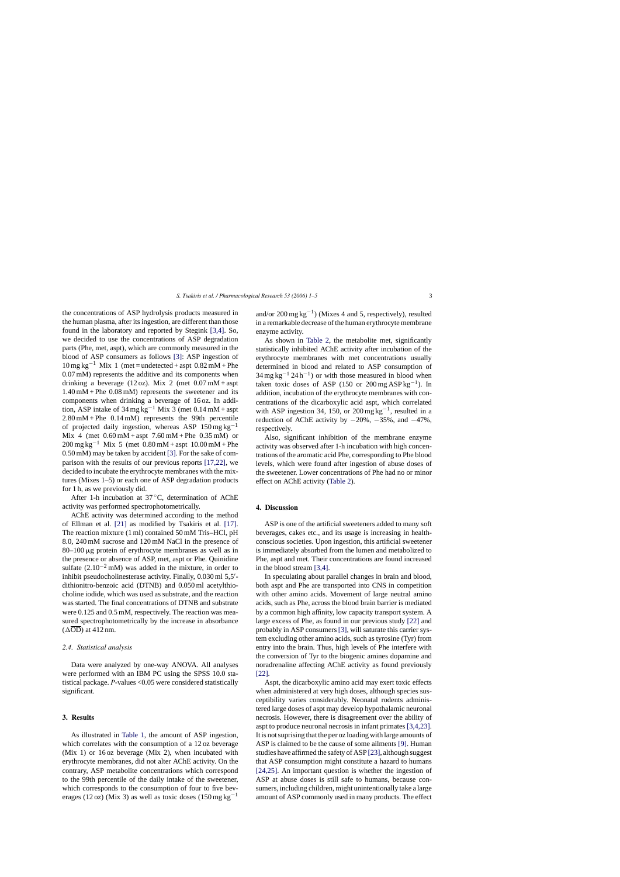the concentrations of ASP hydrolysis products measured in the human plasma, after its ingestion, are different than those found in the laboratory and reported by Stegink [\[3,4\].](#page-4-0) So, we decided to use the concentrations of ASP degradation parts (Phe, met, aspt), which are commonly measured in the blood of ASP consumers as follows [\[3\]:](#page-4-0) ASP ingestion of  $10 \text{ mg kg}^{-1}$  Mix 1 (met = undetected + aspt  $0.82 \text{ mM} + \text{Phe}$ ) 0.07 mM) represents the additive and its components when drinking a beverage (12 oz). Mix 2 (met  $0.07 \text{ mM} +$ aspt 1.40 mM + Phe 0.08 mM) represents the sweetener and its components when drinking a beverage of 16 oz. In addition, ASP intake of 34 mg kg<sup>-1</sup> Mix 3 (met  $0.14$  mM + aspt 2.80 mM + Phe 0.14 mM) represents the 99th percentile of projected daily ingestion, whereas ASP  $150 \text{ mg kg}^{-1}$ Mix 4 (met  $0.60 \text{ mM} + \text{aspt}$  7.60 mM + Phe  $0.35 \text{ mM}$ ) or  $200 \,\text{mg}\,\text{kg}^{-1}$  Mix 5 (met 0.80 mM + aspt 10.00 mM + Phe 0.50 mM) may be taken by accident [\[3\]. F](#page-4-0)or the sake of comparison with the results of our previous reports [\[17,22\],](#page-4-0) we decided to incubate the erythrocyte membranes with the mixtures (Mixes 1–5) or each one of ASP degradation products for 1 h, as we previously did.

After 1-h incubation at 37 ◦C, determination of AChE activity was performed spectrophotometrically.

AChE activity was determined according to the method of Ellman et al. [\[21\]](#page-4-0) as modified by Tsakiris et al. [\[17\].](#page-4-0) The reaction mixture (1 ml) contained 50 mM Tris–HCl, pH 8.0, 240 mM sucrose and 120 mM NaCl in the presence of  $80-100 \mu$ g protein of erythrocyte membranes as well as in the presence or absence of ASP, met, aspt or Phe. Quinidine sulfate  $(2.10^{-2} \text{ mM})$  was added in the mixture, in order to inhibit pseudocholinesterase activity. Finally, 0.030 ml 5,5'dithionitro-benzoic acid (DTNB) and 0.050 ml acetylthiocholine iodide, which was used as substrate, and the reaction was started. The final concentrations of DTNB and substrate were 0.125 and 0.5 mM, respectively. The reaction was measured spectrophotometrically by the increase in absorbance  $(\Delta \overline{OD})$  at 412 nm.

## *2.4. Statistical analysis*

Data were analyzed by one-way ANOVA. All analyses were performed with an IBM PC using the SPSS 10.0 statistical package. *P*-values <0.05 were considered statistically significant.

# **3. Results**

As illustrated in [Table 1,](#page-1-0) the amount of ASP ingestion, which correlates with the consumption of a 12 oz beverage (Mix 1) or 16 oz beverage (Mix 2), when incubated with erythrocyte membranes, did not alter AChE activity. On the contrary, ASP metabolite concentrations which correspond to the 99th percentile of the daily intake of the sweetener, which corresponds to the consumption of four to five beverages (12 oz) (Mix 3) as well as toxic doses (150 mg kg<sup>-1</sup> and/or 200 mg kg<sup>-1</sup>) (Mixes 4 and 5, respectively), resulted in a remarkable decrease of the human erythrocyte membrane enzyme activity.

As shown in [Table 2,](#page-1-0) the metabolite met, significantly statistically inhibited AChE activity after incubation of the erythrocyte membranes with met concentrations usually determined in blood and related to ASP consumption of  $34 \text{ mg kg}^{-1} 24 \text{ h}^{-1}$ ) or with those measured in blood when taken toxic doses of ASP (150 or 200 mg ASP kg<sup>-1</sup>). In addition, incubation of the erythrocyte membranes with concentrations of the dicarboxylic acid aspt, which correlated with ASP ingestion 34, 150, or 200 mg kg<sup>-1</sup>, resulted in a reduction of AChE activity by  $-20\%$ ,  $-35\%$ , and  $-47\%$ , respectively.

Also, significant inhibition of the membrane enzyme activity was observed after 1-h incubation with high concentrations of the aromatic acid Phe, corresponding to Phe blood levels, which were found after ingestion of abuse doses of the sweetener. Lower concentrations of Phe had no or minor effect on AChE activity [\(Table 2\).](#page-1-0)

# **4. Discussion**

ASP is one of the artificial sweeteners added to many soft beverages, cakes etc., and its usage is increasing in healthconscious societies. Upon ingestion, this artificial sweetener is immediately absorbed from the lumen and metabolized to Phe, aspt and met. Their concentrations are found increased in the blood stream [\[3,4\].](#page-4-0)

In speculating about parallel changes in brain and blood, both aspt and Phe are transported into CNS in competition with other amino acids. Movement of large neutral amino acids, such as Phe, across the blood brain barrier is mediated by a common high affinity, low capacity transport system. A large excess of Phe, as found in our previous study [\[22\]](#page-4-0) and probably in ASP consumers [\[3\], w](#page-4-0)ill saturate this carrier system excluding other amino acids, such as tyrosine (Tyr) from entry into the brain. Thus, high levels of Phe interfere with the conversion of Tyr to the biogenic amines dopamine and noradrenaline affecting AChE activity as found previously [\[22\].](#page-4-0)

Aspt, the dicarboxylic amino acid may exert toxic effects when administered at very high doses, although species susceptibility varies considerably. Neonatal rodents administered large doses of aspt may develop hypothalamic neuronal necrosis. However, there is disagreement over the ability of aspt to produce neuronal necrosis in infant primates [\[3,4,23\].](#page-4-0) It is not suprising that the per oz loading with large amounts of ASP is claimed to be the cause of some ailments [\[9\]. H](#page-4-0)uman studies have affirmed the safety of ASP [\[23\], a](#page-4-0)lthough suggest that ASP consumption might constitute a hazard to humans [\[24,25\].](#page-4-0) An important question is whether the ingestion of ASP at abuse doses is still safe to humans, because consumers, including children, might unintentionally take a large amount of ASP commonly used in many products. The effect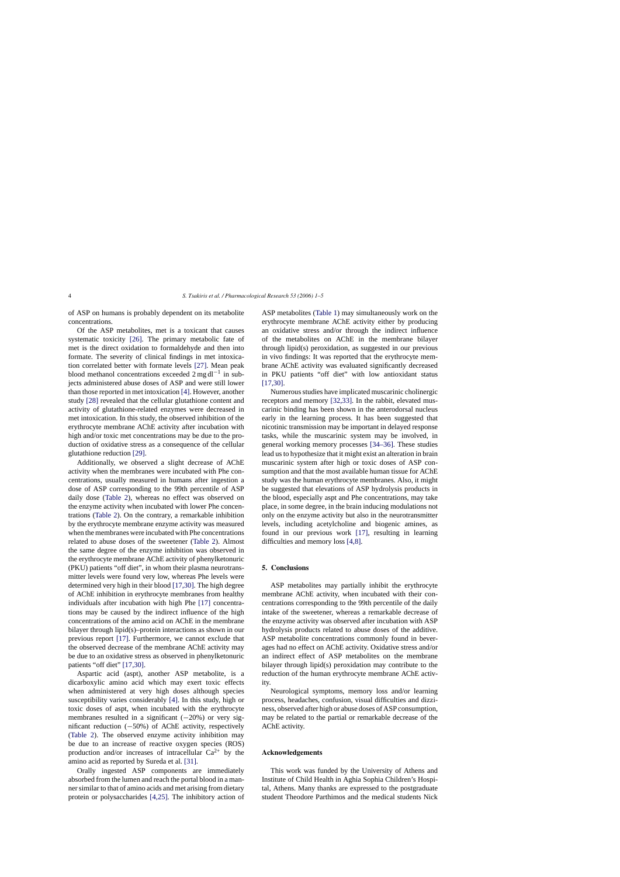of ASP on humans is probably dependent on its metabolite concentrations.

Of the ASP metabolites, met is a toxicant that causes systematic toxicity [\[26\].](#page-4-0) The primary metabolic fate of met is the direct oxidation to formaldehyde and then into formate. The severity of clinical findings in met intoxication correlated better with formate levels [\[27\].](#page-4-0) Mean peak blood methanol concentrations exceeded  $2 \text{ mg} \, \text{d}^{-1}$  in subjects administered abuse doses of ASP and were still lower than those reported in met intoxication [\[4\]. H](#page-4-0)owever, another study [\[28\]](#page-4-0) revealed that the cellular glutathione content and activity of glutathione-related enzymes were decreased in met intoxication. In this study, the observed inhibition of the erythrocyte membrane AChE activity after incubation with high and/or toxic met concentrations may be due to the production of oxidative stress as a consequence of the cellular glutathione reduction [\[29\].](#page-4-0)

Additionally, we observed a slight decrease of AChE activity when the membranes were incubated with Phe concentrations, usually measured in humans after ingestion a dose of ASP corresponding to the 99th percentile of ASP daily dose ([Table 2\)](#page-1-0), whereas no effect was observed on the enzyme activity when incubated with lower Phe concentrations [\(Table 2\).](#page-1-0) On the contrary, a remarkable inhibition by the erythrocyte membrane enzyme activity was measured when the membranes were incubated with Phe concentrations related to abuse doses of the sweetener [\(Table 2\).](#page-1-0) Almost the same degree of the enzyme inhibition was observed in the erythrocyte membrane AChE activity of phenylketonuric (PKU) patients "off diet", in whom their plasma neurotransmitter levels were found very low, whereas Phe levels were determined very high in their blood [\[17,30\]. T](#page-4-0)he high degree of AChE inhibition in erythrocyte membranes from healthy individuals after incubation with high Phe [\[17\]](#page-4-0) concentrations may be caused by the indirect influence of the high concentrations of the amino acid on AChE in the membrane bilayer through lipid(s)–protein interactions as shown in our previous report [\[17\].](#page-4-0) Furthermore, we cannot exclude that the observed decrease of the membrane AChE activity may be due to an oxidative stress as observed in phenylketonuric patients "off diet" [\[17,30\].](#page-4-0)

Aspartic acid (aspt), another ASP metabolite, is a dicarboxylic amino acid which may exert toxic effects when administered at very high doses although species susceptibility varies considerably [\[4\].](#page-4-0) In this study, high or toxic doses of aspt, when incubated with the erythrocyte membranes resulted in a significant  $(-20%)$  or very significant reduction (−50%) of AChE activity, respectively [\(Table 2\)](#page-1-0). The observed enzyme activity inhibition may be due to an increase of reactive oxygen species (ROS) production and/or increases of intracellular  $Ca^{2+}$  by the amino acid as reported by Sureda et al. [\[31\].](#page-4-0)

Orally ingested ASP components are immediately absorbed from the lumen and reach the portal blood in a manner similar to that of amino acids and met arising from dietary protein or polysaccharides [\[4,25\].](#page-4-0) The inhibitory action of ASP metabolites ([Table 1\)](#page-1-0) may simultaneously work on the erythrocyte membrane AChE activity either by producing an oxidative stress and/or through the indirect influence of the metabolites on AChE in the membrane bilayer through lipid(s) peroxidation, as suggested in our previous in vivo findings: It was reported that the erythrocyte membrane AChE activity was evaluated significantly decreased in PKU patients "off diet" with low antioxidant status [\[17,30\].](#page-4-0)

Numerous studies have implicated muscarinic cholinergic receptors and memory [\[32,33\].](#page-4-0) In the rabbit, elevated muscarinic binding has been shown in the anterodorsal nucleus early in the learning process. It has been suggested that nicotinic transmission may be important in delayed response tasks, while the muscarinic system may be involved, in general working memory processes [\[34–36\].](#page-4-0) These studies lead us to hypothesize that it might exist an alteration in brain muscarinic system after high or toxic doses of ASP consumption and that the most available human tissue for AChE study was the human erythrocyte membranes. Also, it might be suggested that elevations of ASP hydrolysis products in the blood, especially aspt and Phe concentrations, may take place, in some degree, in the brain inducing modulations not only on the enzyme activity but also in the neurotransmitter levels, including acetylcholine and biogenic amines, as found in our previous work [\[17\],](#page-4-0) resulting in learning difficulties and memory loss [\[4,8\].](#page-4-0)

## **5. Conclusions**

ASP metabolites may partially inhibit the erythrocyte membrane AChE activity, when incubated with their concentrations corresponding to the 99th percentile of the daily intake of the sweetener, whereas a remarkable decrease of the enzyme activity was observed after incubation with ASP hydrolysis products related to abuse doses of the additive. ASP metabolite concentrations commonly found in beverages had no effect on AChE activity. Oxidative stress and/or an indirect effect of ASP metabolites on the membrane bilayer through lipid(s) peroxidation may contribute to the reduction of the human erythrocyte membrane AChE activity.

Neurological symptoms, memory loss and/or learning process, headaches, confusion, visual difficulties and dizziness, observed after high or abuse doses of ASP consumption, may be related to the partial or remarkable decrease of the AChE activity.

# **Acknowledgements**

This work was funded by the University of Athens and Institute of Child Health in Aghia Sophia Children's Hospital, Athens. Many thanks are expressed to the postgraduate student Theodore Parthimos and the medical students Nick